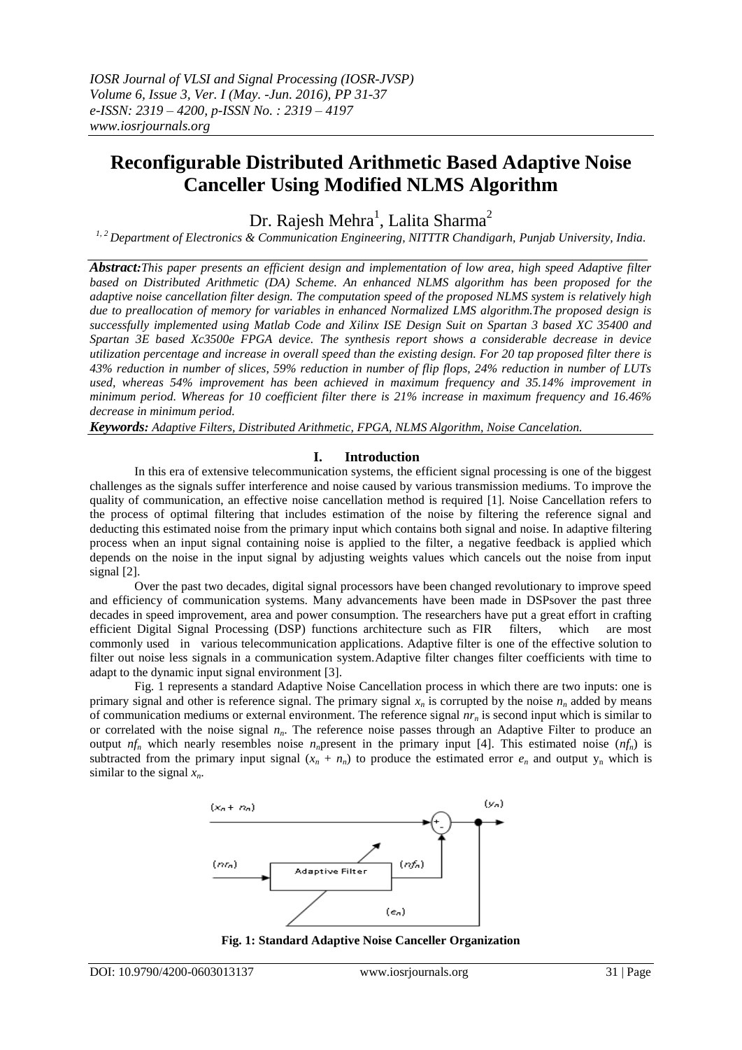# **Reconfigurable Distributed Arithmetic Based Adaptive Noise Canceller Using Modified NLMS Algorithm**

Dr. Rajesh Mehra<sup>1</sup>, Lalita Sharma<sup>2</sup>

*1, 2 Department of Electronics & Communication Engineering, NITTTR Chandigarh, Punjab University, India.*

*Abstract:This paper presents an efficient design and implementation of low area, high speed Adaptive filter based on Distributed Arithmetic (DA) Scheme. An enhanced NLMS algorithm has been proposed for the adaptive noise cancellation filter design. The computation speed of the proposed NLMS system is relatively high due to preallocation of memory for variables in enhanced Normalized LMS algorithm.The proposed design is successfully implemented using Matlab Code and Xilinx ISE Design Suit on Spartan 3 based XC 35400 and Spartan 3E based Xc3500e FPGA device. The synthesis report shows a considerable decrease in device utilization percentage and increase in overall speed than the existing design. For 20 tap proposed filter there is 43% reduction in number of slices, 59% reduction in number of flip flops, 24% reduction in number of LUTs used, whereas 54% improvement has been achieved in maximum frequency and 35.14% improvement in minimum period. Whereas for 10 coefficient filter there is 21% increase in maximum frequency and 16.46% decrease in minimum period.*

*Keywords: Adaptive Filters, Distributed Arithmetic, FPGA, NLMS Algorithm, Noise Cancelation.*

#### **I. Introduction**

In this era of extensive telecommunication systems, the efficient signal processing is one of the biggest challenges as the signals suffer interference and noise caused by various transmission mediums. To improve the quality of communication, an effective noise cancellation method is required [1]. Noise Cancellation refers to the process of optimal filtering that includes estimation of the noise by filtering the reference signal and deducting this estimated noise from the primary input which contains both signal and noise. In adaptive filtering process when an input signal containing noise is applied to the filter, a negative feedback is applied which depends on the noise in the input signal by adjusting weights values which cancels out the noise from input signal [2].

Over the past two decades, digital signal processors have been changed revolutionary to improve speed and efficiency of communication systems. Many advancements have been made in DSPsover the past three decades in speed improvement, area and power consumption. The researchers have put a great effort in crafting efficient Digital Signal Processing (DSP) functions architecture such as FIR filters, which are most commonly used in various telecommunication applications. Adaptive filter is one of the effective solution to filter out noise less signals in a communication system.Adaptive filter changes filter coefficients with time to adapt to the dynamic input signal environment [3].

Fig. 1 represents a standard Adaptive Noise Cancellation process in which there are two inputs: one is primary signal and other is reference signal. The primary signal  $x<sub>n</sub>$  is corrupted by the noise  $n<sub>n</sub>$  added by means of communication mediums or external environment. The reference signal  $nr<sub>n</sub>$  is second input which is similar to or correlated with the noise signal *nn*. The reference noise passes through an Adaptive Filter to produce an output  $nf_n$  which nearly resembles noise  $n_n$ present in the primary input [4]. This estimated noise  $(n f_n)$  is subtracted from the primary input signal  $(x_n + n_n)$  to produce the estimated error  $e_n$  and output  $y_n$  which is similar to the signal  $x_n$ .



**Fig. 1: Standard Adaptive Noise Canceller Organization**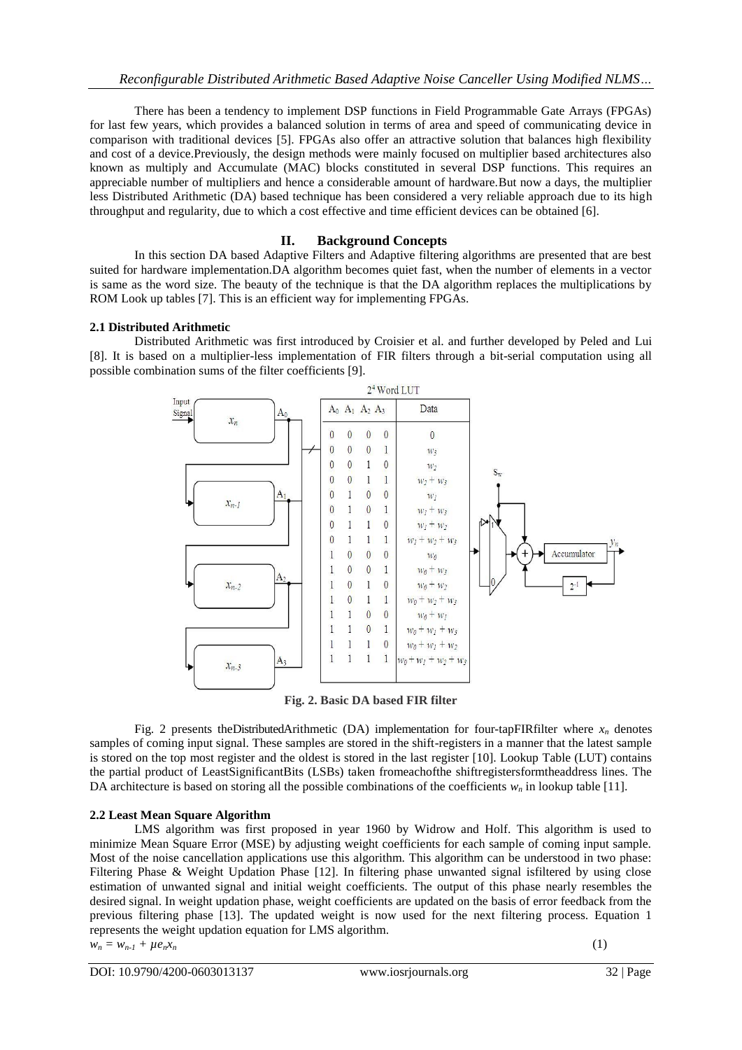There has been a tendency to implement DSP functions in Field Programmable Gate Arrays (FPGAs) for last few years, which provides a balanced solution in terms of area and speed of communicating device in comparison with traditional devices [5]. FPGAs also offer an attractive solution that balances high flexibility and cost of a device.Previously, the design methods were mainly focused on multiplier based architectures also known as multiply and Accumulate (MAC) blocks constituted in several DSP functions. This requires an appreciable number of multipliers and hence a considerable amount of hardware.But now a days, the multiplier less Distributed Arithmetic (DA) based technique has been considered a very reliable approach due to its high throughput and regularity, due to which a cost effective and time efficient devices can be obtained [6].

# **II. Background Concepts**

In this section DA based Adaptive Filters and Adaptive filtering algorithms are presented that are best suited for hardware implementation.DA algorithm becomes quiet fast, when the number of elements in a vector is same as the word size. The beauty of the technique is that the DA algorithm replaces the multiplications by ROM Look up tables [7]. This is an efficient way for implementing FPGAs.

# **2.1 Distributed Arithmetic**

Distributed Arithmetic was first introduced by Croisier et al. and further developed by Peled and Lui [8]. It is based on a multiplier-less implementation of FIR filters through a bit-serial computation using all possible combination sums of the filter coefficients [9].



**Fig. 2. Basic DA based FIR filter**

Fig. 2 presents the Distributed Arithmetic (DA) implementation for four-tapFIRfilter where  $x_n$  denotes samples of coming input signal. These samples are stored in the shift-registers in a manner that the latest sample is stored on the top most register and the oldest is stored in the last register [10]. Lookup Table (LUT) contains the partial product of LeastSignificantBits (LSBs) taken fromeachofthe shiftregistersformtheaddress lines. The DA architecture is based on storing all the possible combinations of the coefficients  $w<sub>n</sub>$  in lookup table [11].

# **2.2 Least Mean Square Algorithm**

LMS algorithm was first proposed in year 1960 by Widrow and Holf. This algorithm is used to minimize Mean Square Error (MSE) by adjusting weight coefficients for each sample of coming input sample. Most of the noise cancellation applications use this algorithm. This algorithm can be understood in two phase: Filtering Phase & Weight Updation Phase [12]. In filtering phase unwanted signal isfiltered by using close estimation of unwanted signal and initial weight coefficients. The output of this phase nearly resembles the desired signal. In weight updation phase, weight coefficients are updated on the basis of error feedback from the previous filtering phase [13]. The updated weight is now used for the next filtering process. Equation 1 represents the weight updation equation for LMS algorithm.

 $w_n = w_{n-1} + \mu e_n x_n$  (1)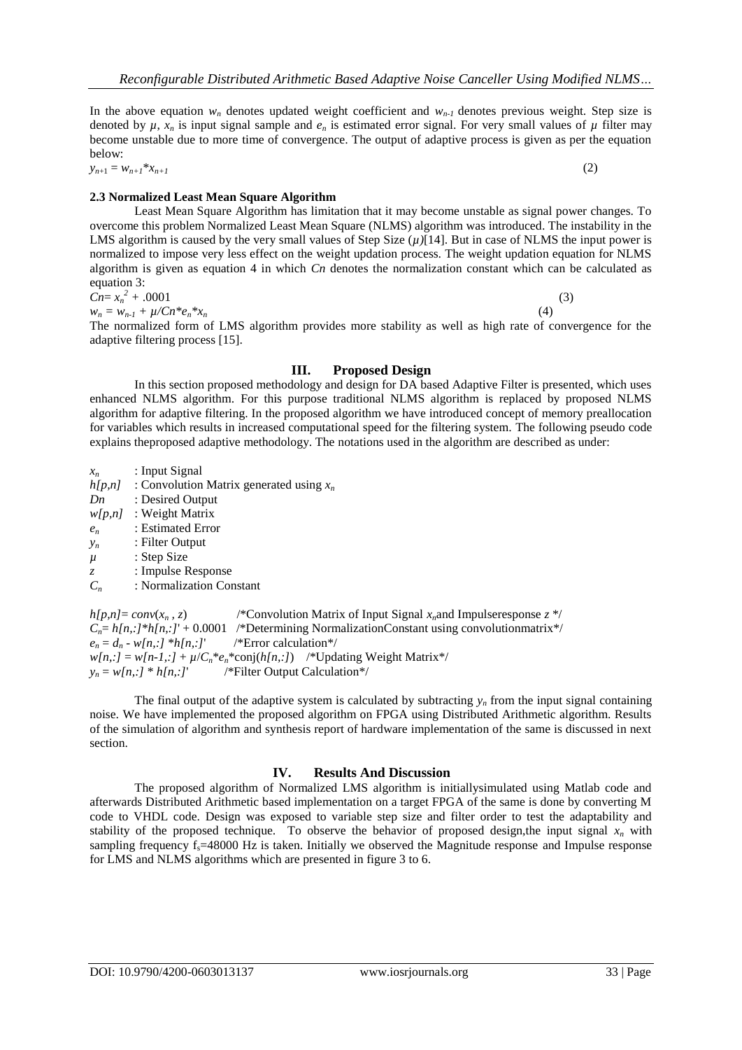In the above equation  $w_n$  denotes updated weight coefficient and  $w_{n-1}$  denotes previous weight. Step size is denoted by  $\mu$ ,  $x_n$  is input signal sample and  $e_n$  is estimated error signal. For very small values of  $\mu$  filter may become unstable due to more time of convergence. The output of adaptive process is given as per the equation below:

 $y_{n+1} = w_{n+1}^{*} x_{n+1}$  (2)

# **2.3 Normalized Least Mean Square Algorithm**

| Least Mean Square Algorithm has limitation that it may become unstable as signal power changes. To                 |
|--------------------------------------------------------------------------------------------------------------------|
| overcome this problem Normalized Least Mean Square (NLMS) algorithm was introduced. The instability in the         |
| LMS algorithm is caused by the very small values of Step Size $(\mu)$ [14]. But in case of NLMS the input power is |
| normalized to impose very less effect on the weight updation process. The weight updation equation for NLMS        |
| algorithm is given as equation 4 in which $C_n$ denotes the normalization constant which can be calculated as      |
| equation 3:                                                                                                        |
| $Cn = x_n^2 + .0001$                                                                                               |

 $w_n = w_{n-1} + \mu / C n^* e_n^* x_n$  (4)

The normalized form of LMS algorithm provides more stability as well as high rate of convergence for the adaptive filtering process [15].

#### **III. Proposed Design**

In this section proposed methodology and design for DA based Adaptive Filter is presented, which uses enhanced NLMS algorithm. For this purpose traditional NLMS algorithm is replaced by proposed NLMS algorithm for adaptive filtering. In the proposed algorithm we have introduced concept of memory preallocation for variables which results in increased computational speed for the filtering system. The following pseudo code explains theproposed adaptive methodology. The notations used in the algorithm are described as under:

- *x<sup>n</sup>* : Input Signal
- $h[p,n]$ : Convolution Matrix generated using  $x_n$
- *Dn* : Desired Output
- *w[p,n]* : Weight Matrix
- *e<sup>n</sup>* : Estimated Error
- *y<sup>n</sup>* : Filter Output
- *µ* : Step Size
- *z* : Impulse Response
- *C<sup>n</sup>* : Normalization Constant

 $h[p,n] = conv(x_n, z)$  /\*Convolution Matrix of Input Signal  $x_n$  and Impulseresponse  $z^*$  $C_n = h[n, j^*h[n, j^*] + 0.0001$  /\*Determining NormalizationConstant using convolutionmatrix\*/  $e_n = d_n - w[n, :]$  \**h[n,:]* /\*Error calculation\*/  $w[n,:] = w[n-1,:] + \mu/C_n^*e_n^*$ conj( $h[n,:]$ ) /\*Updating Weight Matrix\*/  $y_n = w[n, :] * h[n, :]$  /\*Filter Output Calculation\*/

The final output of the adaptive system is calculated by subtracting  $y_n$  from the input signal containing noise. We have implemented the proposed algorithm on FPGA using Distributed Arithmetic algorithm. Results of the simulation of algorithm and synthesis report of hardware implementation of the same is discussed in next section.

# **IV. Results And Discussion**

The proposed algorithm of Normalized LMS algorithm is initiallysimulated using Matlab code and afterwards Distributed Arithmetic based implementation on a target FPGA of the same is done by converting M code to VHDL code. Design was exposed to variable step size and filter order to test the adaptability and stability of the proposed technique. To observe the behavior of proposed design,the input signal  $x<sub>n</sub>$  with sampling frequency  $f_s = 48000$  Hz is taken. Initially we observed the Magnitude response and Impulse response for LMS and NLMS algorithms which are presented in figure 3 to 6.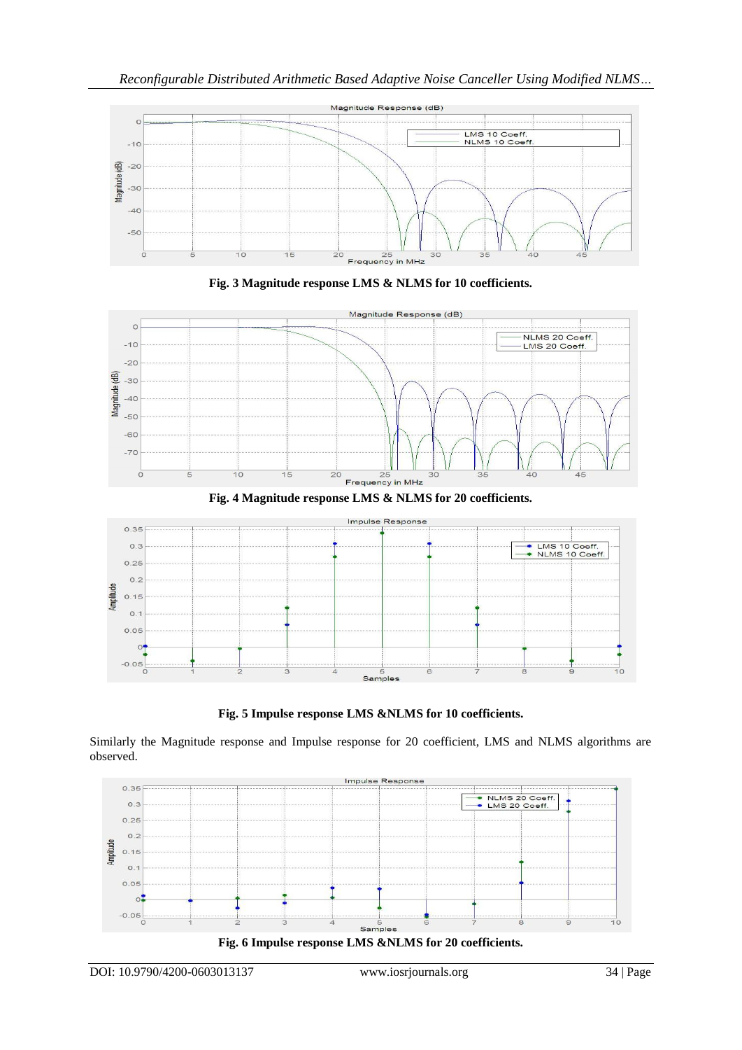







**Fig. 5 Impulse response LMS &NLMS for 10 coefficients.**

Similarly the Magnitude response and Impulse response for 20 coefficient, LMS and NLMS algorithms are observed.

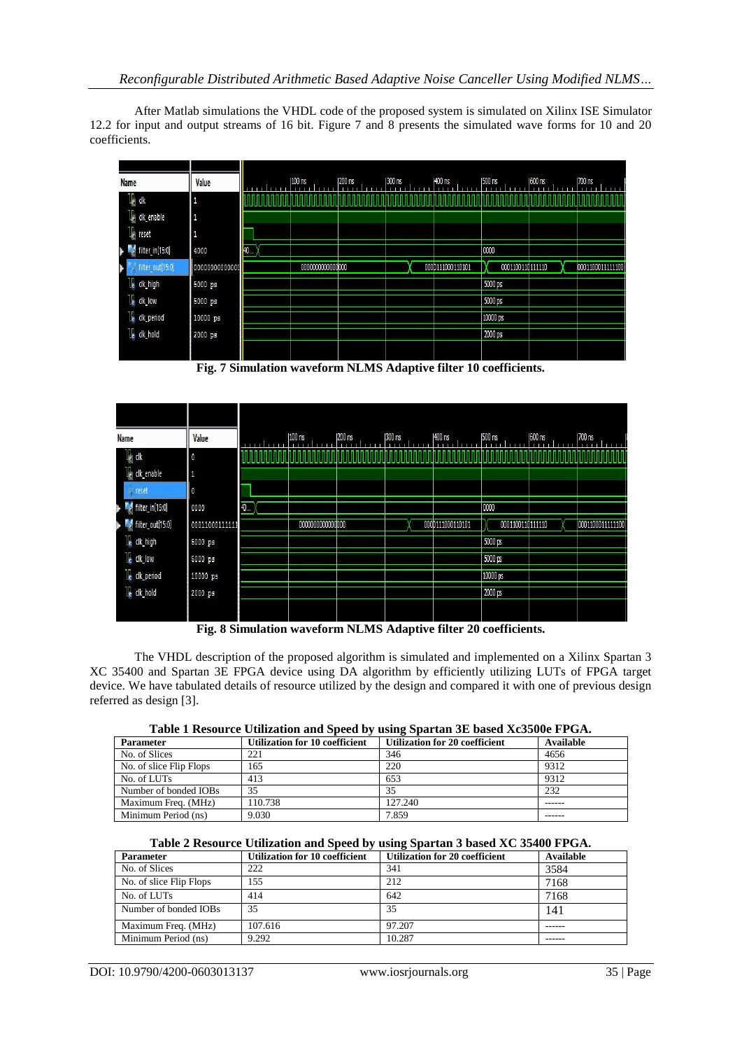After Matlab simulations the VHDL code of the proposed system is simulated on Xilinx ISE Simulator 12.2 for input and output streams of 16 bit. Figure 7 and 8 presents the simulated wave forms for 10 and 20 coefficients.

| <b>Name</b>           | Value          |     | 100 ns          | 200 ns | 1300 ns | 1400 ns          | 500 ns           | 600 ns | 1700 ns          |
|-----------------------|----------------|-----|-----------------|--------|---------|------------------|------------------|--------|------------------|
| $\frac{1}{2}$ dk      |                |     |                 |        |         |                  |                  |        |                  |
| la cik_enable         | П              |     |                 |        |         |                  |                  |        |                  |
| le reset              | щ              |     |                 |        |         |                  |                  |        |                  |
| filter_in[15:0]       | 4000           | 40. |                 |        |         |                  | 0000             |        |                  |
| filter_out[15:0]<br>Þ | 00000000000000 |     | 000000000000000 |        |         | 0000111000110101 | 0001100110111110 |        | 0001100011111100 |
| le dk_high            | 5000 ps        |     |                 |        |         |                  | 5000 ps          |        |                  |
| le dk_low             | 5000 ps        |     |                 |        |         |                  | 5000 ps          |        |                  |
| le dk_period          | 10000 ps       |     |                 |        |         |                  | 10000 ps         |        |                  |
| <b>IE</b> clk_hold    | 2000 ps        |     |                 |        |         |                  | 2000 ps          |        |                  |
|                       |                |     |                 |        |         |                  |                  |        |                  |

**Fig. 7 Simulation waveform NLMS Adaptive filter 10 coefficients.**

| Name                      | Value          |    | 100 ns          | 200 ns | 300 ns | 400 ns           | 500 ns           | 600 ns | 700 ns            |
|---------------------------|----------------|----|-----------------|--------|--------|------------------|------------------|--------|-------------------|
| l <mark>k</mark> dk       | O              |    |                 |        |        |                  |                  |        |                   |
| I <sub>n</sub> clk_enable | 1              |    |                 |        |        |                  |                  |        |                   |
| <b>Preset</b>             | O              |    |                 |        |        |                  |                  |        |                   |
| filter_in[15:0]           | 0000           | 40 |                 |        |        |                  | 0000             |        |                   |
| filter_out[15:0]          | 00011000111111 |    | 000000000000000 |        |        | 0000111000110101 | 0001100110111110 |        | 00011000111111100 |
| le clk_high               | 5000 ps        |    |                 |        |        |                  | 5000 ps          |        |                   |
| le cik_low                | 5000 ps        |    |                 |        |        |                  | 5000 ps          |        |                   |
| le clk_period             | 10000 ps       |    |                 |        |        |                  | 10000 ps         |        |                   |
| <b>L</b> clk_hold         | 2000 ps        |    |                 |        |        |                  | 2000 ps          |        |                   |
|                           |                |    |                 |        |        |                  |                  |        |                   |

**Fig. 8 Simulation waveform NLMS Adaptive filter 20 coefficients.**

The VHDL description of the proposed algorithm is simulated and implemented on a Xilinx Spartan 3 XC 35400 and Spartan 3E FPGA device using DA algorithm by efficiently utilizing LUTs of FPGA target device. We have tabulated details of resource utilized by the design and compared it with one of previous design referred as design [3].

| Table I Resource Utilization and Speed by using Spartan 3D based AcsSove FT GA. |                                       |                                       |           |  |  |  |  |
|---------------------------------------------------------------------------------|---------------------------------------|---------------------------------------|-----------|--|--|--|--|
| <b>Parameter</b>                                                                | <b>Utilization for 10 coefficient</b> | <b>Utilization for 20 coefficient</b> | Available |  |  |  |  |
| No. of Slices                                                                   | 221                                   | 346                                   | 4656      |  |  |  |  |
| No. of slice Flip Flops                                                         | 165                                   | 220                                   | 9312      |  |  |  |  |
| No. of LUTs                                                                     | 413                                   | 653                                   | 9312      |  |  |  |  |
| Number of bonded IOBs                                                           | 35                                    | 35                                    | 232       |  |  |  |  |
| Maximum Freq. (MHz)                                                             | 110.738                               | 127.240                               |           |  |  |  |  |
| Minimum Period (ns)                                                             | 9.030                                 | 7.859                                 |           |  |  |  |  |

| Table 1 Resource Utilization and Speed by using Spartan 3E based Xc3500e FPGA. |  |  |  |  |  |
|--------------------------------------------------------------------------------|--|--|--|--|--|
|--------------------------------------------------------------------------------|--|--|--|--|--|

#### **Table 2 Resource Utilization and Speed by using Spartan 3 based XC 35400 FPGA.**

| <b>Parameter</b>        | <b>Utilization for 10 coefficient</b> | <b>Utilization for 20 coefficient</b> | Available |
|-------------------------|---------------------------------------|---------------------------------------|-----------|
| No. of Slices           | 222                                   | 341                                   | 3584      |
| No. of slice Flip Flops | 155                                   | 212                                   | 7168      |
| No. of LUTs             | 414                                   | 642                                   | 7168      |
| Number of bonded IOBs   | 35                                    | 35                                    | 141       |
| Maximum Freq. (MHz)     | 107.616                               | 97.207                                |           |
| Minimum Period (ns)     | 9.292                                 | 10.287                                | ------    |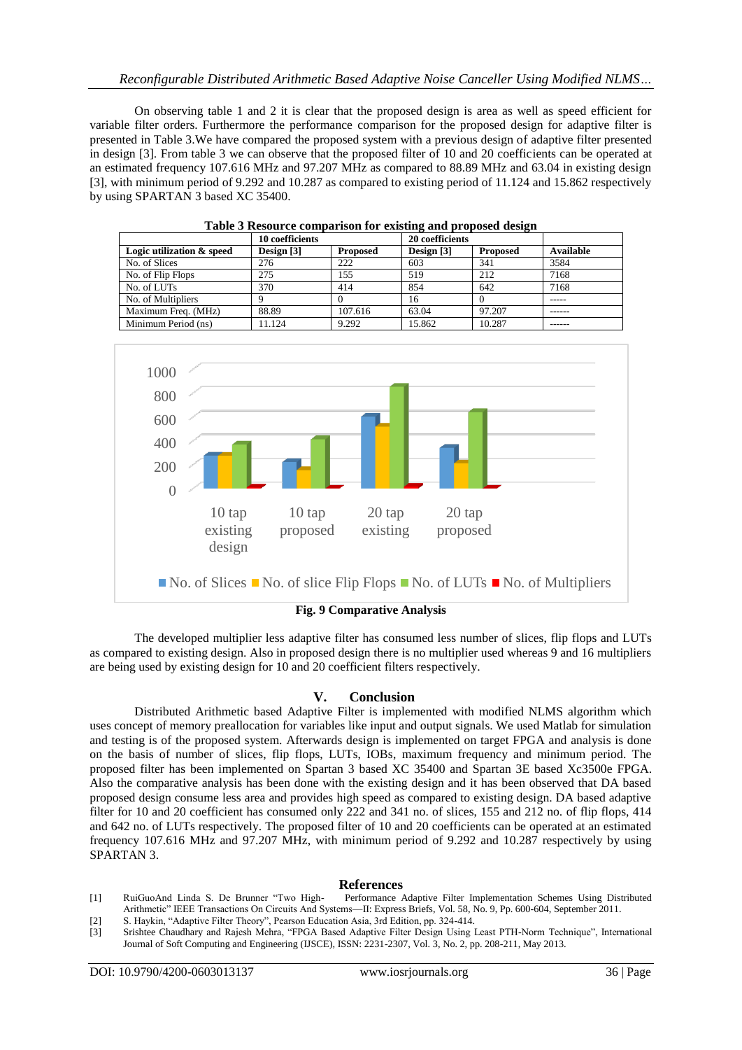On observing table 1 and 2 it is clear that the proposed design is area as well as speed efficient for variable filter orders. Furthermore the performance comparison for the proposed design for adaptive filter is presented in Table 3.We have compared the proposed system with a previous design of adaptive filter presented in design [3]. From table 3 we can observe that the proposed filter of 10 and 20 coefficients can be operated at an estimated frequency 107.616 MHz and 97.207 MHz as compared to 88.89 MHz and 63.04 in existing design [3], with minimum period of 9.292 and 10.287 as compared to existing period of 11.124 and 15.862 respectively by using SPARTAN 3 based XC 35400.

|                           | 10 coefficients |                 | $\overline{\phantom{a}}$<br>20 coefficients | $\overline{\phantom{a}}$ |           |
|---------------------------|-----------------|-----------------|---------------------------------------------|--------------------------|-----------|
| Logic utilization & speed | Design $[3]$    | <b>Proposed</b> | Design $[3]$                                | <b>Proposed</b>          | Available |
| No. of Slices             | 276             | 222             | 603                                         | 341                      | 3584      |
| No. of Flip Flops         | 275             | .55             | 519                                         | 212                      | 7168      |
| No. of LUTs               | 370             | 414             | 854                                         | 642                      | 7168      |
| No. of Multipliers        | Q               |                 | 16                                          |                          |           |
| Maximum Freq. (MHz)       | 88.89           | 107.616         | 63.04                                       | 97.207                   | ------    |
| Minimum Period (ns)       | 11.124          | 9.292           | 15.862                                      | 10.287                   |           |





**Fig. 9 Comparative Analysis**

The developed multiplier less adaptive filter has consumed less number of slices, flip flops and LUTs as compared to existing design. Also in proposed design there is no multiplier used whereas 9 and 16 multipliers are being used by existing design for 10 and 20 coefficient filters respectively.

# **V. Conclusion**

Distributed Arithmetic based Adaptive Filter is implemented with modified NLMS algorithm which uses concept of memory preallocation for variables like input and output signals. We used Matlab for simulation and testing is of the proposed system. Afterwards design is implemented on target FPGA and analysis is done on the basis of number of slices, flip flops, LUTs, IOBs, maximum frequency and minimum period. The proposed filter has been implemented on Spartan 3 based XC 35400 and Spartan 3E based Xc3500e FPGA. Also the comparative analysis has been done with the existing design and it has been observed that DA based proposed design consume less area and provides high speed as compared to existing design. DA based adaptive filter for 10 and 20 coefficient has consumed only 222 and 341 no. of slices, 155 and 212 no. of flip flops, 414 and 642 no. of LUTs respectively. The proposed filter of 10 and 20 coefficients can be operated at an estimated frequency 107.616 MHz and 97.207 MHz, with minimum period of 9.292 and 10.287 respectively by using SPARTAN 3.

# **References**

- [1] RuiGuoAnd Linda S. De Brunner "Two High- Performance Adaptive Filter Implementation Schemes Using Distributed Arithmetic" IEEE Transactions On Circuits And Systems—II: Express Briefs, Vol. 58, No. 9, Pp. 600-604, September 2011.
- [2] S. Haykin, "Adaptive Filter Theory", Pearson Education Asia, 3rd Edition, pp. 324-414.
- [3] Srishtee Chaudhary and Rajesh Mehra, "FPGA Based Adaptive Filter Design Using Least PTH-Norm Technique", International Journal of Soft Computing and Engineering (IJSCE), ISSN: 2231-2307, Vol. 3, No. 2, pp. 208-211, May 2013.